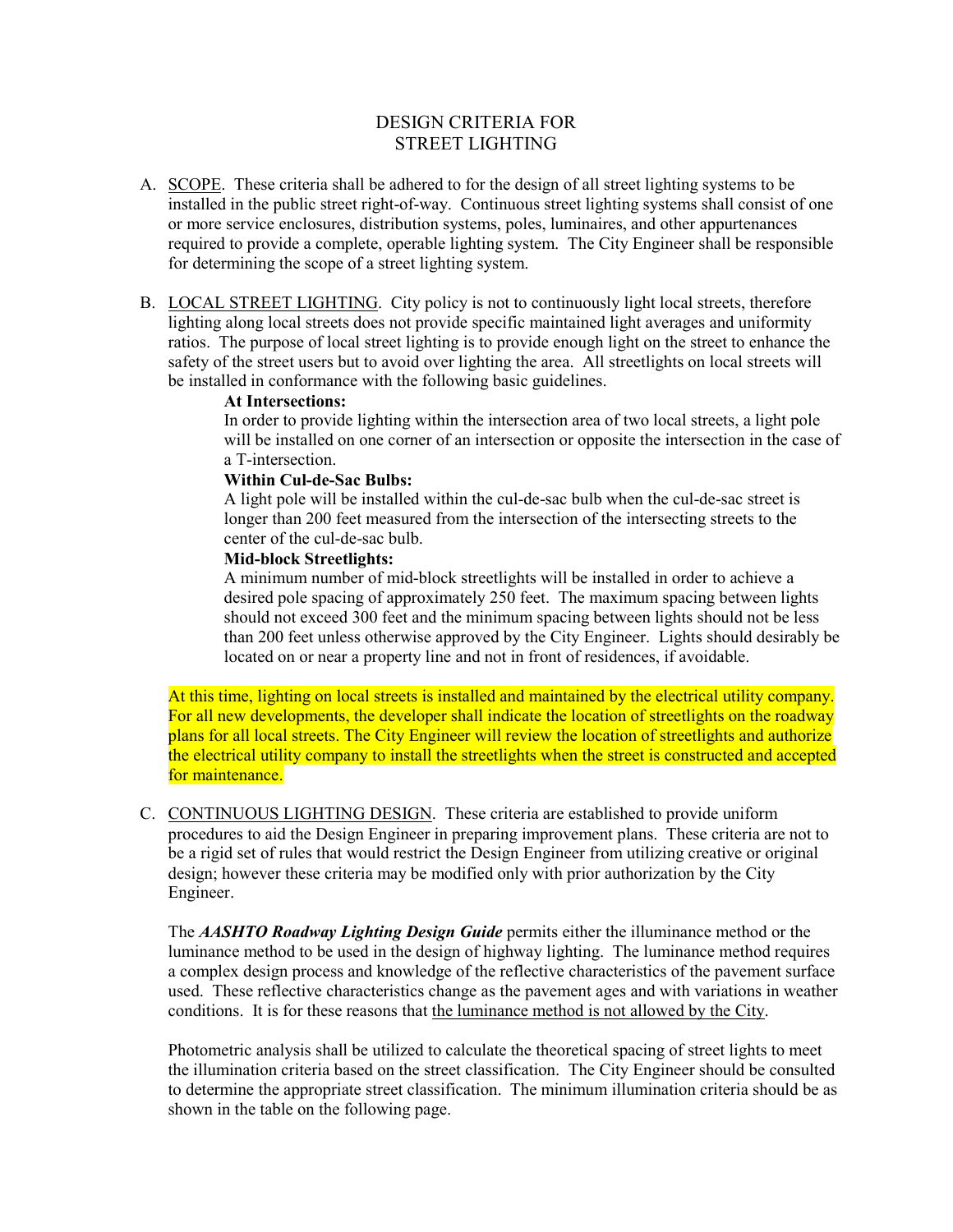# DESIGN CRITERIA FOR STREET LIGHTING

- A. SCOPE. These criteria shall be adhered to for the design of all street lighting systems to be installed in the public street right-of-way. Continuous street lighting systems shall consist of one or more service enclosures, distribution systems, poles, luminaires, and other appurtenances required to provide a complete, operable lighting system. The City Engineer shall be responsible for determining the scope of a street lighting system.
- B. LOCAL STREET LIGHTING. City policy is not to continuously light local streets, therefore lighting along local streets does not provide specific maintained light averages and uniformity ratios. The purpose of local street lighting is to provide enough light on the street to enhance the safety of the street users but to avoid over lighting the area. All streetlights on local streets will be installed in conformance with the following basic guidelines.

### **At Intersections:**

In order to provide lighting within the intersection area of two local streets, a light pole will be installed on one corner of an intersection or opposite the intersection in the case of a T-intersection.

#### **Within Cul-de-Sac Bulbs:**

A light pole will be installed within the cul-de-sac bulb when the cul-de-sac street is longer than 200 feet measured from the intersection of the intersecting streets to the center of the cul-de-sac bulb.

#### **Mid-block Streetlights:**

A minimum number of mid-block streetlights will be installed in order to achieve a desired pole spacing of approximately 250 feet. The maximum spacing between lights should not exceed 300 feet and the minimum spacing between lights should not be less than 200 feet unless otherwise approved by the City Engineer. Lights should desirably be located on or near a property line and not in front of residences, if avoidable.

At this time, lighting on local streets is installed and maintained by the electrical utility company. For all new developments, the developer shall indicate the location of streetlights on the roadway plans for all local streets. The City Engineer will review the location of streetlights and authorize the electrical utility company to install the streetlights when the street is constructed and accepted for maintenance.

C. CONTINUOUS LIGHTING DESIGN. These criteria are established to provide uniform procedures to aid the Design Engineer in preparing improvement plans. These criteria are not to be a rigid set of rules that would restrict the Design Engineer from utilizing creative or original design; however these criteria may be modified only with prior authorization by the City Engineer.

The *AASHTO Roadway Lighting Design Guide* permits either the illuminance method or the luminance method to be used in the design of highway lighting. The luminance method requires a complex design process and knowledge of the reflective characteristics of the pavement surface used. These reflective characteristics change as the pavement ages and with variations in weather conditions. It is for these reasons that the luminance method is not allowed by the City.

Photometric analysis shall be utilized to calculate the theoretical spacing of street lights to meet the illumination criteria based on the street classification. The City Engineer should be consulted to determine the appropriate street classification. The minimum illumination criteria should be as shown in the table on the following page.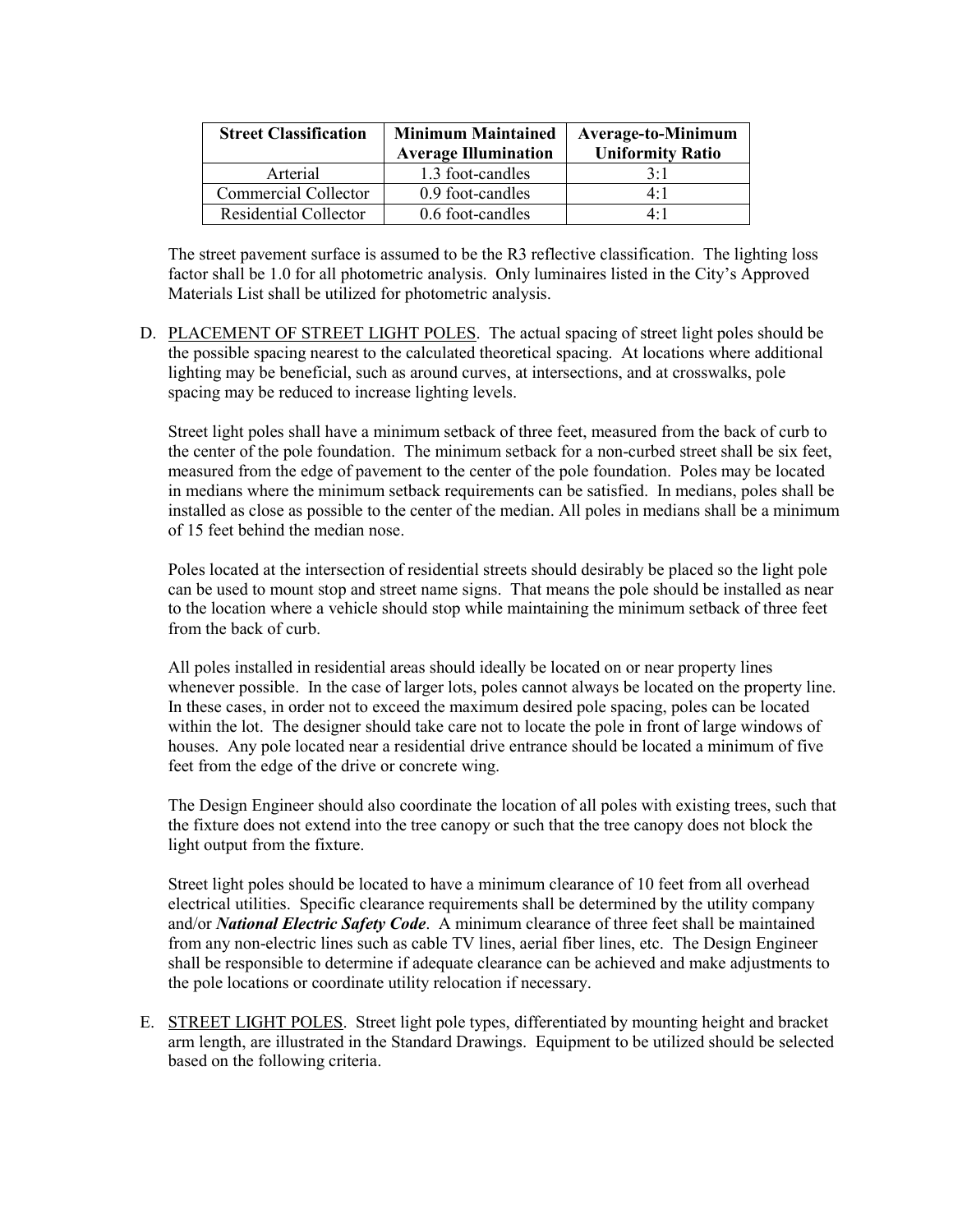| <b>Street Classification</b> | <b>Minimum Maintained</b><br><b>Average Illumination</b> | <b>Average-to-Minimum</b><br><b>Uniformity Ratio</b> |
|------------------------------|----------------------------------------------------------|------------------------------------------------------|
| Arterial                     | 1.3 foot-candles                                         | 3:1                                                  |
| Commercial Collector         | 0.9 foot-candles                                         | 4:1                                                  |
| <b>Residential Collector</b> | 0.6 foot-candles                                         | 4.1                                                  |

The street pavement surface is assumed to be the R3 reflective classification. The lighting loss factor shall be 1.0 for all photometric analysis. Only luminaires listed in the City's Approved Materials List shall be utilized for photometric analysis.

D. PLACEMENT OF STREET LIGHT POLES.The actual spacing of street light poles should be the possible spacing nearest to the calculated theoretical spacing. At locations where additional lighting may be beneficial, such as around curves, at intersections, and at crosswalks, pole spacing may be reduced to increase lighting levels.

Street light poles shall have a minimum setback of three feet, measured from the back of curb to the center of the pole foundation. The minimum setback for a non-curbed street shall be six feet, measured from the edge of pavement to the center of the pole foundation. Poles may be located in medians where the minimum setback requirements can be satisfied. In medians, poles shall be installed as close as possible to the center of the median. All poles in medians shall be a minimum of 15 feet behind the median nose.

Poles located at the intersection of residential streets should desirably be placed so the light pole can be used to mount stop and street name signs. That means the pole should be installed as near to the location where a vehicle should stop while maintaining the minimum setback of three feet from the back of curb.

All poles installed in residential areas should ideally be located on or near property lines whenever possible. In the case of larger lots, poles cannot always be located on the property line. In these cases, in order not to exceed the maximum desired pole spacing, poles can be located within the lot. The designer should take care not to locate the pole in front of large windows of houses. Any pole located near a residential drive entrance should be located a minimum of five feet from the edge of the drive or concrete wing.

The Design Engineer should also coordinate the location of all poles with existing trees, such that the fixture does not extend into the tree canopy or such that the tree canopy does not block the light output from the fixture.

Street light poles should be located to have a minimum clearance of 10 feet from all overhead electrical utilities. Specific clearance requirements shall be determined by the utility company and/or *National Electric Safety Code*. A minimum clearance of three feet shall be maintained from any non-electric lines such as cable TV lines, aerial fiber lines, etc. The Design Engineer shall be responsible to determine if adequate clearance can be achieved and make adjustments to the pole locations or coordinate utility relocation if necessary.

E. STREET LIGHT POLES. Street light pole types, differentiated by mounting height and bracket arm length, are illustrated in the Standard Drawings. Equipment to be utilized should be selected based on the following criteria.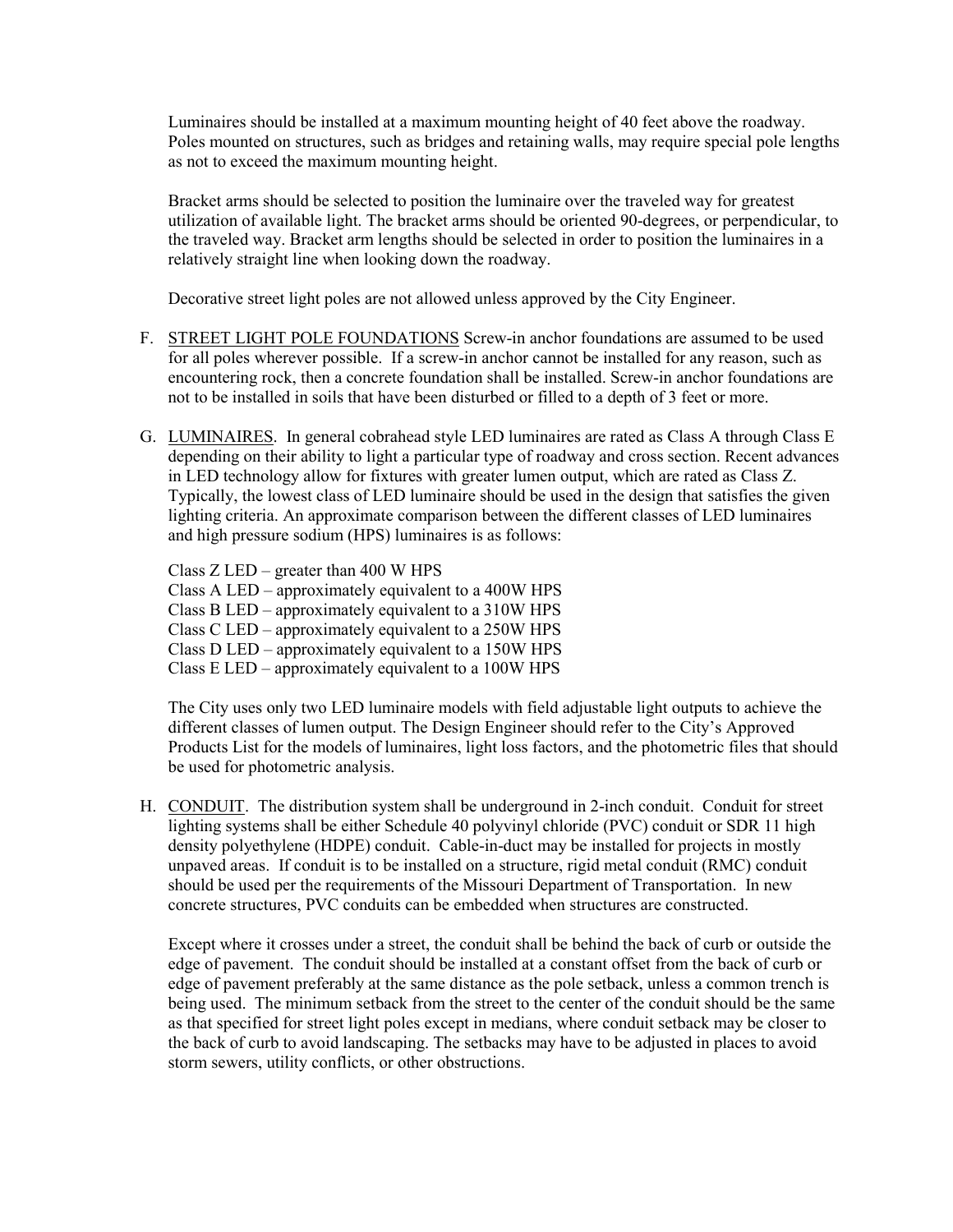Luminaires should be installed at a maximum mounting height of 40 feet above the roadway. Poles mounted on structures, such as bridges and retaining walls, may require special pole lengths as not to exceed the maximum mounting height.

Bracket arms should be selected to position the luminaire over the traveled way for greatest utilization of available light. The bracket arms should be oriented 90-degrees, or perpendicular, to the traveled way. Bracket arm lengths should be selected in order to position the luminaires in a relatively straight line when looking down the roadway.

Decorative street light poles are not allowed unless approved by the City Engineer.

- F. STREET LIGHT POLE FOUNDATIONS Screw-in anchor foundations are assumed to be used for all poles wherever possible. If a screw-in anchor cannot be installed for any reason, such as encountering rock, then a concrete foundation shall be installed. Screw-in anchor foundations are not to be installed in soils that have been disturbed or filled to a depth of 3 feet or more.
- G. LUMINAIRES. In general cobrahead style LED luminaires are rated as Class A through Class E depending on their ability to light a particular type of roadway and cross section. Recent advances in LED technology allow for fixtures with greater lumen output, which are rated as Class Z. Typically, the lowest class of LED luminaire should be used in the design that satisfies the given lighting criteria. An approximate comparison between the different classes of LED luminaires and high pressure sodium (HPS) luminaires is as follows:

Class Z LED – greater than 400 W HPS Class A LED – approximately equivalent to a 400W HPS Class B LED – approximately equivalent to a 310W HPS Class C LED – approximately equivalent to a 250W HPS Class D LED – approximately equivalent to a 150W HPS Class E LED – approximately equivalent to a 100W HPS

The City uses only two LED luminaire models with field adjustable light outputs to achieve the different classes of lumen output. The Design Engineer should refer to the City's Approved Products List for the models of luminaires, light loss factors, and the photometric files that should be used for photometric analysis.

H. CONDUIT. The distribution system shall be underground in 2-inch conduit. Conduit for street lighting systems shall be either Schedule 40 polyvinyl chloride (PVC) conduit or SDR 11 high density polyethylene (HDPE) conduit. Cable-in-duct may be installed for projects in mostly unpaved areas. If conduit is to be installed on a structure, rigid metal conduit (RMC) conduit should be used per the requirements of the Missouri Department of Transportation. In new concrete structures, PVC conduits can be embedded when structures are constructed.

Except where it crosses under a street, the conduit shall be behind the back of curb or outside the edge of pavement. The conduit should be installed at a constant offset from the back of curb or edge of pavement preferably at the same distance as the pole setback, unless a common trench is being used. The minimum setback from the street to the center of the conduit should be the same as that specified for street light poles except in medians, where conduit setback may be closer to the back of curb to avoid landscaping. The setbacks may have to be adjusted in places to avoid storm sewers, utility conflicts, or other obstructions.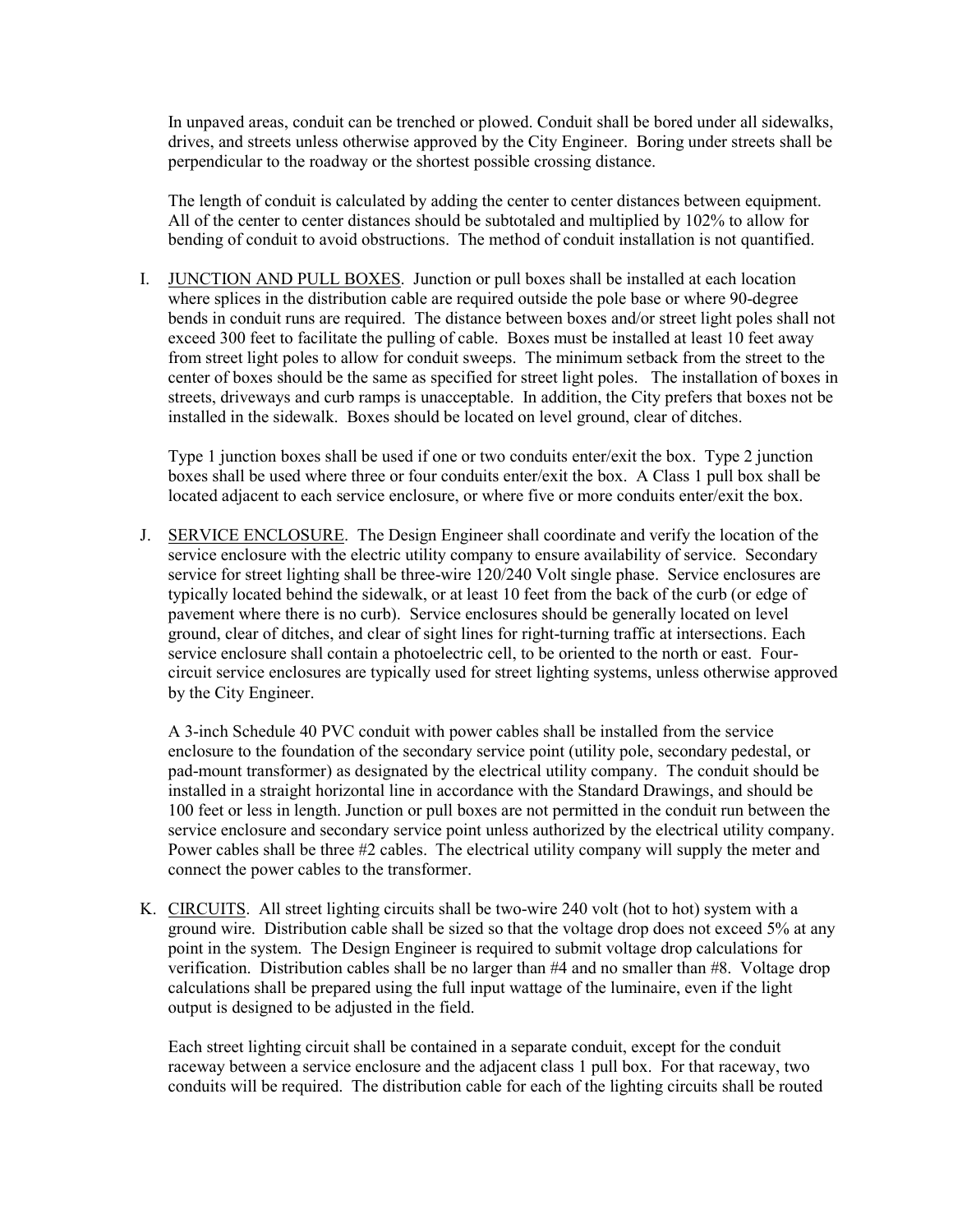In unpaved areas, conduit can be trenched or plowed. Conduit shall be bored under all sidewalks, drives, and streets unless otherwise approved by the City Engineer. Boring under streets shall be perpendicular to the roadway or the shortest possible crossing distance.

The length of conduit is calculated by adding the center to center distances between equipment. All of the center to center distances should be subtotaled and multiplied by 102% to allow for bending of conduit to avoid obstructions. The method of conduit installation is not quantified.

I. JUNCTION AND PULL BOXES. Junction or pull boxes shall be installed at each location where splices in the distribution cable are required outside the pole base or where 90-degree bends in conduit runs are required. The distance between boxes and/or street light poles shall not exceed 300 feet to facilitate the pulling of cable. Boxes must be installed at least 10 feet away from street light poles to allow for conduit sweeps. The minimum setback from the street to the center of boxes should be the same as specified for street light poles. The installation of boxes in streets, driveways and curb ramps is unacceptable. In addition, the City prefers that boxes not be installed in the sidewalk. Boxes should be located on level ground, clear of ditches.

Type 1 junction boxes shall be used if one or two conduits enter/exit the box. Type 2 junction boxes shall be used where three or four conduits enter/exit the box. A Class 1 pull box shall be located adjacent to each service enclosure, or where five or more conduits enter/exit the box.

J. SERVICE ENCLOSURE. The Design Engineer shall coordinate and verify the location of the service enclosure with the electric utility company to ensure availability of service. Secondary service for street lighting shall be three-wire 120/240 Volt single phase. Service enclosures are typically located behind the sidewalk, or at least 10 feet from the back of the curb (or edge of pavement where there is no curb). Service enclosures should be generally located on level ground, clear of ditches, and clear of sight lines for right-turning traffic at intersections. Each service enclosure shall contain a photoelectric cell, to be oriented to the north or east. Fourcircuit service enclosures are typically used for street lighting systems, unless otherwise approved by the City Engineer.

A 3-inch Schedule 40 PVC conduit with power cables shall be installed from the service enclosure to the foundation of the secondary service point (utility pole, secondary pedestal, or pad-mount transformer) as designated by the electrical utility company. The conduit should be installed in a straight horizontal line in accordance with the Standard Drawings, and should be 100 feet or less in length. Junction or pull boxes are not permitted in the conduit run between the service enclosure and secondary service point unless authorized by the electrical utility company. Power cables shall be three #2 cables. The electrical utility company will supply the meter and connect the power cables to the transformer.

K. CIRCUITS. All street lighting circuits shall be two-wire 240 volt (hot to hot) system with a ground wire. Distribution cable shall be sized so that the voltage drop does not exceed 5% at any point in the system. The Design Engineer is required to submit voltage drop calculations for verification. Distribution cables shall be no larger than #4 and no smaller than #8. Voltage drop calculations shall be prepared using the full input wattage of the luminaire, even if the light output is designed to be adjusted in the field.

Each street lighting circuit shall be contained in a separate conduit, except for the conduit raceway between a service enclosure and the adjacent class 1 pull box. For that raceway, two conduits will be required. The distribution cable for each of the lighting circuits shall be routed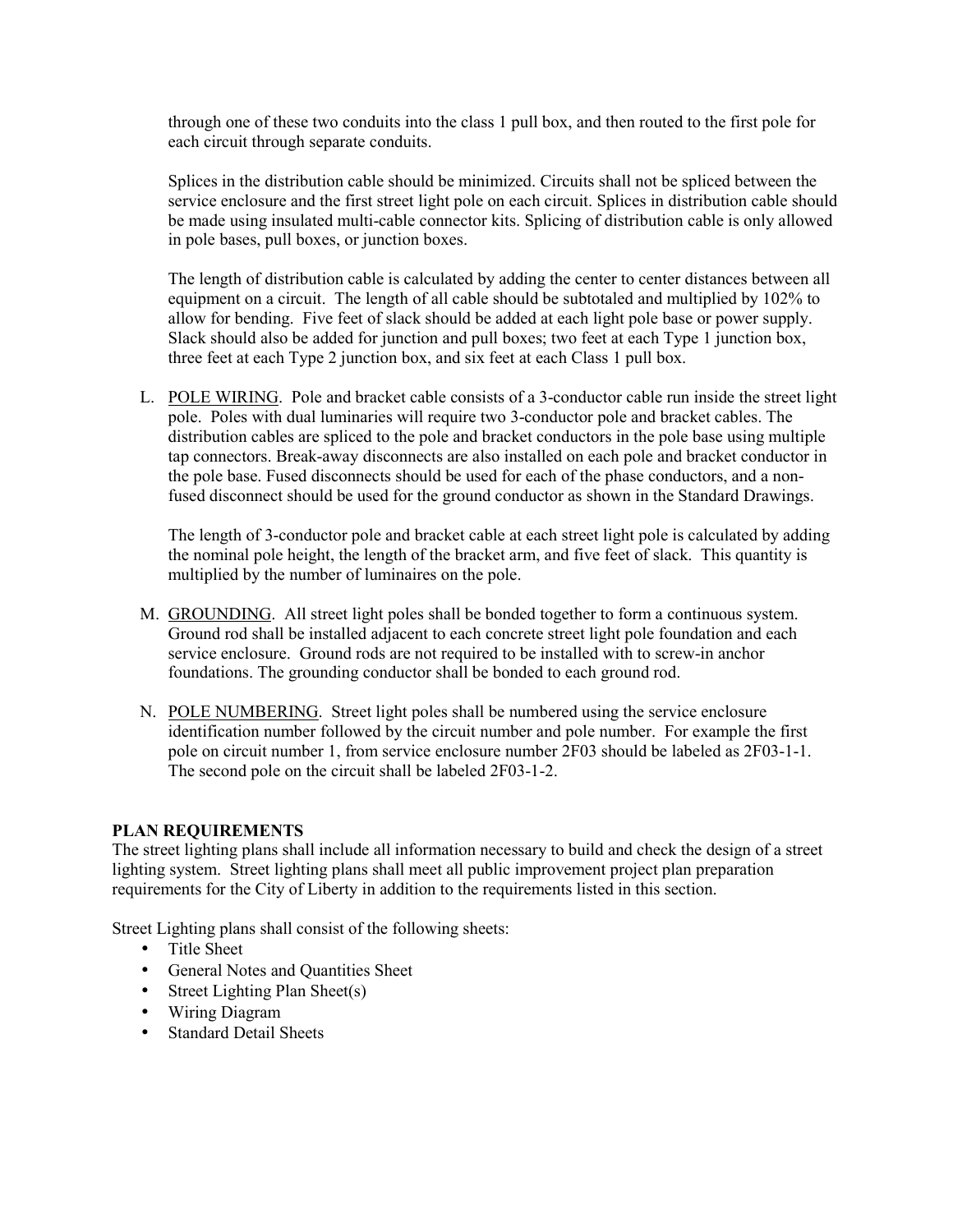through one of these two conduits into the class 1 pull box, and then routed to the first pole for each circuit through separate conduits.

Splices in the distribution cable should be minimized. Circuits shall not be spliced between the service enclosure and the first street light pole on each circuit. Splices in distribution cable should be made using insulated multi-cable connector kits. Splicing of distribution cable is only allowed in pole bases, pull boxes, or junction boxes.

The length of distribution cable is calculated by adding the center to center distances between all equipment on a circuit. The length of all cable should be subtotaled and multiplied by 102% to allow for bending. Five feet of slack should be added at each light pole base or power supply. Slack should also be added for junction and pull boxes; two feet at each Type 1 junction box, three feet at each Type 2 junction box, and six feet at each Class 1 pull box.

L. POLE WIRING. Pole and bracket cable consists of a 3-conductor cable run inside the street light pole. Poles with dual luminaries will require two 3-conductor pole and bracket cables. The distribution cables are spliced to the pole and bracket conductors in the pole base using multiple tap connectors. Break-away disconnects are also installed on each pole and bracket conductor in the pole base. Fused disconnects should be used for each of the phase conductors, and a nonfused disconnect should be used for the ground conductor as shown in the Standard Drawings.

The length of 3-conductor pole and bracket cable at each street light pole is calculated by adding the nominal pole height, the length of the bracket arm, and five feet of slack. This quantity is multiplied by the number of luminaires on the pole.

- M. GROUNDING. All street light poles shall be bonded together to form a continuous system. Ground rod shall be installed adjacent to each concrete street light pole foundation and each service enclosure. Ground rods are not required to be installed with to screw-in anchor foundations. The grounding conductor shall be bonded to each ground rod.
- N. POLE NUMBERING. Street light poles shall be numbered using the service enclosure identification number followed by the circuit number and pole number. For example the first pole on circuit number 1, from service enclosure number 2F03 should be labeled as 2F03-1-1. The second pole on the circuit shall be labeled 2F03-1-2.

## **PLAN REQUIREMENTS**

The street lighting plans shall include all information necessary to build and check the design of a street lighting system. Street lighting plans shall meet all public improvement project plan preparation requirements for the City of Liberty in addition to the requirements listed in this section.

Street Lighting plans shall consist of the following sheets:

- Title Sheet
- General Notes and Quantities Sheet
- Street Lighting Plan Sheet(s)
- Wiring Diagram
- Standard Detail Sheets